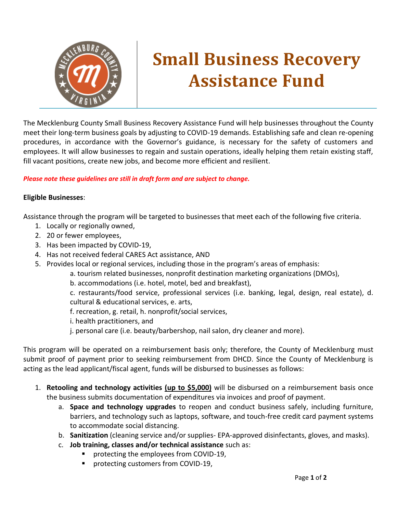

# **Small Business Recovery Assistance Fund**

The Mecklenburg County Small Business Recovery Assistance Fund will help businesses throughout the County meet their long-term business goals by adjusting to COVID-19 demands. Establishing safe and clean re-opening procedures, in accordance with the Governor's guidance, is necessary for the safety of customers and employees. It will allow businesses to regain and sustain operations, ideally helping them retain existing staff, fill vacant positions, create new jobs, and become more efficient and resilient.

### *Please note these guidelines are still in draft form and are subject to change.*

### **Eligible Businesses**:

Assistance through the program will be targeted to businesses that meet each of the following five criteria.

- 1. Locally or regionally owned,
- 2. 20 or fewer employees,
- 3. Has been impacted by COVID-19,
- 4. Has not received federal CARES Act assistance, AND
- 5. Provides local or regional services, including those in the program's areas of emphasis:
	- a. tourism related businesses, nonprofit destination marketing organizations (DMOs),
	- b. accommodations (i.e. hotel, motel, bed and breakfast),

c. restaurants/food service, professional services (i.e. banking, legal, design, real estate), d. cultural & educational services, e. arts,

- f. recreation, g. retail, h. nonprofit/social services,
- i. health practitioners, and
- j. personal care (i.e. beauty/barbershop, nail salon, dry cleaner and more).

This program will be operated on a reimbursement basis only; therefore, the County of Mecklenburg must submit proof of payment prior to seeking reimbursement from DHCD. Since the County of Mecklenburg is acting as the lead applicant/fiscal agent, funds will be disbursed to businesses as follows:

- 1. **Retooling and technology activities (up to \$5,000)** will be disbursed on a reimbursement basis once the business submits documentation of expenditures via invoices and proof of payment.
	- a. **Space and technology upgrades** to reopen and conduct business safely, including furniture, barriers, and technology such as laptops, software, and touch-free credit card payment systems to accommodate social distancing.
	- b. **Sanitization** (cleaning service and/or supplies- EPA-approved disinfectants, gloves, and masks).
	- c. **Job training, classes and/or technical assistance** such as:
		- protecting the employees from COVID-19,
		- protecting customers from COVID-19,